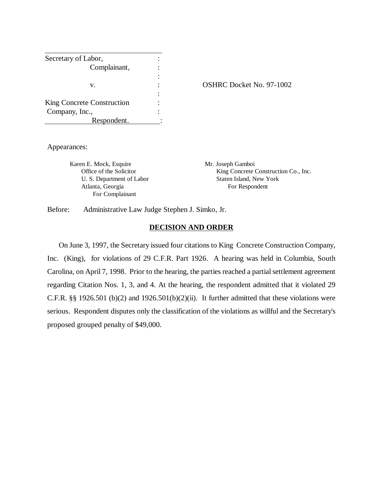| Secretary of Labor,        |  |
|----------------------------|--|
| Complainant,               |  |
|                            |  |
| V.                         |  |
|                            |  |
| King Concrete Construction |  |
| Company, Inc.,             |  |
| Respondent.                |  |

#### OSHRC Docket No. 97-1002

Appearances:

Karen E. Mock, Esquire Mr. Joseph Gamboi Atlanta, Georgia For Respondent For Complainant

Office of the Solicitor King Concrete Construction Co., Inc. U. S. Department of Labor Staten Island, New York

Before: Administrative Law Judge Stephen J. Simko, Jr.

### **DECISION AND ORDER**

 On June 3, 1997, the Secretary issued four citations to King Concrete Construction Company, Inc. (King), for violations of 29 C.F.R. Part 1926. A hearing was held in Columbia, South Carolina, on April 7, 1998. Prior to the hearing, the parties reached a partial settlement agreement regarding Citation Nos. 1, 3, and 4. At the hearing, the respondent admitted that it violated 29 C.F.R.  $\S$  1926.501 (b)(2) and 1926.501(b)(2)(ii). It further admitted that these violations were serious. Respondent disputes only the classification of the violations as willful and the Secretary's proposed grouped penalty of \$49,000.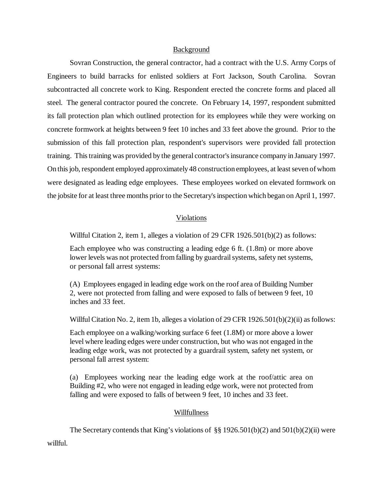### Background

Sovran Construction, the general contractor, had a contract with the U.S. Army Corps of Engineers to build barracks for enlisted soldiers at Fort Jackson, South Carolina. Sovran subcontracted all concrete work to King. Respondent erected the concrete forms and placed all steel. The general contractor poured the concrete. On February 14, 1997, respondent submitted its fall protection plan which outlined protection for its employees while they were working on concrete formwork at heights between 9 feet 10 inches and 33 feet above the ground. Prior to the submission of this fall protection plan, respondent's supervisors were provided fall protection training. This training was provided by the general contractor's insurance company in January 1997. On this job, respondent employed approximately 48 construction employees, at least seven of whom were designated as leading edge employees. These employees worked on elevated formwork on the jobsite for at least three months prior to the Secretary's inspection which began on April 1, 1997.

## Violations

Willful Citation 2, item 1, alleges a violation of 29 CFR 1926.501(b)(2) as follows:

Each employee who was constructing a leading edge 6 ft. (1.8m) or more above lower levels was not protected from falling by guardrail systems, safety net systems, or personal fall arrest systems:

(A) Employees engaged in leading edge work on the roof area of Building Number 2, were not protected from falling and were exposed to falls of between 9 feet, 10 inches and 33 feet.

Willful Citation No. 2, item 1b, alleges a violation of 29 CFR  $1926.501(b)(2)(ii)$  as follows:

Each employee on a walking/working surface 6 feet (1.8M) or more above a lower level where leading edges were under construction, but who was not engaged in the leading edge work, was not protected by a guardrail system, safety net system, or personal fall arrest system:

(a) Employees working near the leading edge work at the roof/attic area on Building #2, who were not engaged in leading edge work, were not protected from falling and were exposed to falls of between 9 feet, 10 inches and 33 feet.

## Willfullness

The Secretary contends that King's violations of §§ 1926.501(b)(2) and 501(b)(2)(ii) were willful.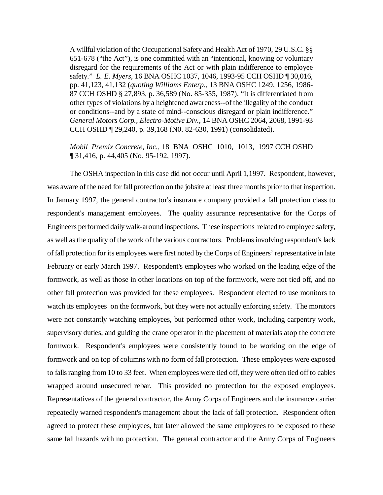A willful violation of the Occupational Safety and Health Act of 1970, 29 U.S.C. §§ 651-678 ("the Act"), is one committed with an "intentional, knowing or voluntary disregard for the requirements of the Act or with plain indifference to employee safety." *L. E. Myers*, 16 BNA OSHC 1037, 1046, 1993-95 CCH OSHD ¶ 30,016, pp. 41,123, 41,132 (*quoting Williams Enterp.*, 13 BNA OSHC 1249, 1256, 1986- 87 CCH OSHD § 27,893, p. 36,589 (No. 85-355, 1987). "It is differentiated from other types of violations by a heightened awareness--of the illegality of the conduct or conditions--and by a state of mind--conscious disregard or plain indifference." *General Motors Corp., Electro-Motive Div.*, 14 BNA OSHC 2064, 2068, 1991-93 CCH OSHD ¶ 29,240, p. 39,168 (N0. 82-630, 1991) (consolidated).

*Mobil Premix Concrete, Inc.,* 18 BNA OSHC 1010, 1013, 1997 CCH OSHD ¶ 31,416, p. 44,405 (No. 95-192, 1997).

The OSHA inspection in this case did not occur until April 1,1997. Respondent, however, was aware of the need for fall protection on the jobsite at least three months prior to that inspection. In January 1997, the general contractor's insurance company provided a fall protection class to respondent's management employees. The quality assurance representative for the Corps of Engineers performed daily walk-around inspections. These inspections related to employee safety, as well as the quality of the work of the various contractors. Problems involving respondent's lack of fall protection for its employees were first noted by the Corps of Engineers' representative in late February or early March 1997. Respondent's employees who worked on the leading edge of the formwork, as well as those in other locations on top of the formwork, were not tied off, and no other fall protection was provided for these employees. Respondent elected to use monitors to watch its employees on the formwork, but they were not actually enforcing safety. The monitors were not constantly watching employees, but performed other work, including carpentry work, supervisory duties, and guiding the crane operator in the placement of materials atop the concrete formwork. Respondent's employees were consistently found to be working on the edge of formwork and on top of columns with no form of fall protection. These employees were exposed to falls ranging from 10 to 33 feet. When employees were tied off, they were often tied off to cables wrapped around unsecured rebar. This provided no protection for the exposed employees. Representatives of the general contractor, the Army Corps of Engineers and the insurance carrier repeatedly warned respondent's management about the lack of fall protection. Respondent often agreed to protect these employees, but later allowed the same employees to be exposed to these same fall hazards with no protection. The general contractor and the Army Corps of Engineers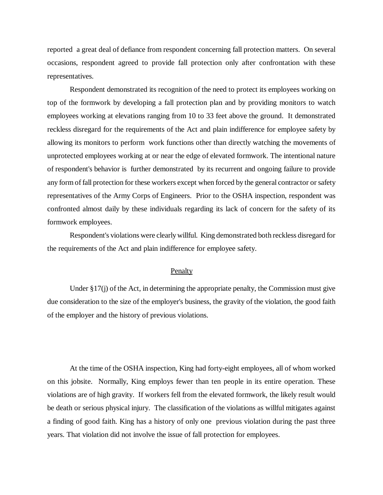reported a great deal of defiance from respondent concerning fall protection matters. On several occasions, respondent agreed to provide fall protection only after confrontation with these representatives.

Respondent demonstrated its recognition of the need to protect its employees working on top of the formwork by developing a fall protection plan and by providing monitors to watch employees working at elevations ranging from 10 to 33 feet above the ground. It demonstrated reckless disregard for the requirements of the Act and plain indifference for employee safety by allowing its monitors to perform work functions other than directly watching the movements of unprotected employees working at or near the edge of elevated formwork. The intentional nature of respondent's behavior is further demonstrated by its recurrent and ongoing failure to provide any form of fall protection for these workers except when forced by the general contractor or safety representatives of the Army Corps of Engineers. Prior to the OSHA inspection, respondent was confronted almost daily by these individuals regarding its lack of concern for the safety of its formwork employees.

Respondent's violations were clearly willful. King demonstrated both reckless disregard for the requirements of the Act and plain indifference for employee safety.

### Penalty

Under §17(j) of the Act, in determining the appropriate penalty, the Commission must give due consideration to the size of the employer's business, the gravity of the violation, the good faith of the employer and the history of previous violations.

At the time of the OSHA inspection, King had forty-eight employees, all of whom worked on this jobsite. Normally, King employs fewer than ten people in its entire operation. These violations are of high gravity. If workers fell from the elevated formwork, the likely result would be death or serious physical injury. The classification of the violations as willful mitigates against a finding of good faith. King has a history of only one previous violation during the past three years. That violation did not involve the issue of fall protection for employees.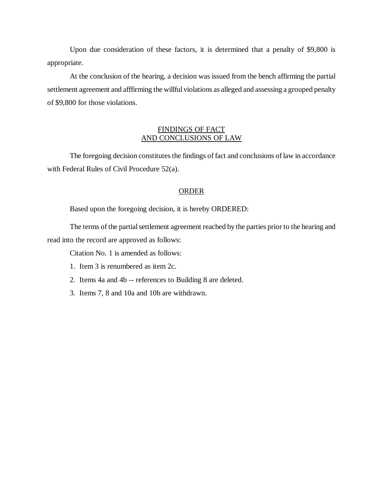Upon due consideration of these factors, it is determined that a penalty of \$9,800 is appropriate.

At the conclusion of the hearing, a decision was issued from the bench affirming the partial settlement agreement and afffirming the willful violations as alleged and assessing a grouped penalty of \$9,800 for those violations.

## FINDINGS OF FACT AND CONCLUSIONS OF LAW

The foregoing decision constitutes the findings of fact and conclusions of law in accordance with Federal Rules of Civil Procedure 52(a).

## **ORDER**

Based upon the foregoing decision, it is hereby ORDERED:

The terms of the partial settlement agreement reached by the parties prior to the hearing and read into the record are approved as follows:

Citation No. 1 is amended as follows:

- 1. Item 3 is renumbered as item 2c.
- 2. Items 4a and 4b -- references to Building 8 are deleted.
- 3. Items 7, 8 and 10a and 10b are withdrawn.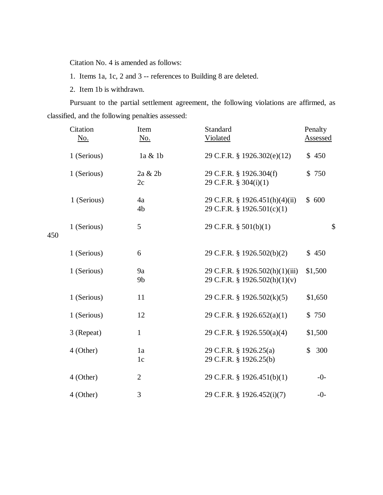Citation No. 4 is amended as follows:

1. Items 1a, 1c, 2 and 3 -- references to Building 8 are deleted.

2. Item 1b is withdrawn.

Pursuant to the partial settlement agreement, the following violations are affirmed, as classified, and the following penalties assessed:

|     | Citation    | Item                 | Standard                                                         | Penalty   |
|-----|-------------|----------------------|------------------------------------------------------------------|-----------|
|     | No.         | No.                  | Violated                                                         | Assessed  |
|     | 1 (Serious) | 1a & 1b              | 29 C.F.R. § 1926.302(e)(12)                                      | \$450     |
|     | 1 (Serious) | 2a & 2b<br>2c        | 29 C.F.R. § 1926.304(f)<br>29 C.F.R. § 304(i)(1)                 | \$750     |
|     | 1 (Serious) | 4a<br>4 <sub>b</sub> | 29 C.F.R. § 1926.451(h)(4)(ii)<br>29 C.F.R. § 1926.501(c)(1)     | \$600     |
| 450 | 1 (Serious) | 5                    | 29 C.F.R. $\S$ 501(b)(1)                                         | \$        |
|     | 1 (Serious) | 6                    | 29 C.F.R. § 1926.502(b)(2)                                       | \$450     |
|     | 1 (Serious) | 9a<br>9 <sub>b</sub> | 29 C.F.R. § 1926.502(h)(1)(iii)<br>29 C.F.R. § 1926.502(h)(1)(v) | \$1,500   |
|     | 1 (Serious) | 11                   | 29 C.F.R. § 1926.502(k)(5)                                       | \$1,650   |
|     | 1 (Serious) | 12                   | 29 C.F.R. § 1926.652(a)(1)                                       | \$750     |
|     | 3 (Repeat)  | $\mathbf{1}$         | 29 C.F.R. § 1926.550(a)(4)                                       | \$1,500   |
|     | 4 (Other)   | 1a<br>1 <sub>c</sub> | 29 C.F.R. § 1926.25(a)<br>29 C.F.R. § 1926.25(b)                 | 300<br>\$ |
|     | 4 (Other)   | $\overline{2}$       | 29 C.F.R. § 1926.451(b)(1)                                       | $-0-$     |
|     | 4 (Other)   | 3                    | 29 C.F.R. § 1926.452(i)(7)                                       | $-0-$     |